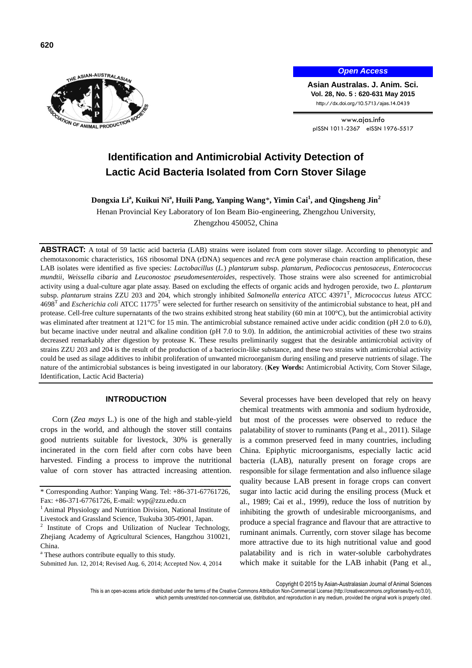

## *Open Access*

**Asian Australas. J. Anim. Sci. Vol. 28, No. 5 : 620-631 May 2015** http://dx.doi.org/10.5713/ajas.14.0439

www.ajas.info pISSN 1011-2367 eISSN 1976-5517

# **Identification and Antimicrobial Activity Detection of Lactic Acid Bacteria Isolated from Corn Stover Silage**

**Dongxia Li<sup>a</sup> , Kuikui Ni<sup>a</sup> , Huili Pang, Yanping Wang**\***, Yimin Cai<sup>1</sup> , and Qingsheng Jin<sup>2</sup>**

Henan Provincial Key Laboratory of Ion Beam Bio-engineering, Zhengzhou University, Zhengzhou 450052, China

**ABSTRACT:** A total of 59 lactic acid bacteria (LAB) strains were isolated from corn stover silage. According to phenotypic and chemotaxonomic characteristics, 16S ribosomal DNA (rDNA) sequences and *rec*A gene polymerase chain reaction amplification, these LAB isolates were identified as five species: *Lactobacillus* (*L.*) *plantarum* subsp. *plantarum*, *Pediococcus pentosaceus*, *Enterococcus mundtii*, *Weissella cibaria* and *Leuconostoc pseudomesenteroides*, respectively. Those strains were also screened for antimicrobial activity using a dual-culture agar plate assay. Based on excluding the effects of organic acids and hydrogen peroxide, two *L. plantarum*  subsp. *plantarum* strains ZZU 203 and 204, which strongly inhibited *Salmonella enterica* ATCC 43971<sup>T</sup> , *Micrococcus luteus* ATCC 4698<sup>T</sup> and *Escherichia coli* ATCC 11775<sup>T</sup> were selected for further research on sensitivity of the antimicrobial substance to heat, pH and protease. Cell-free culture supernatants of the two strains exhibited strong heat stability (60 min at 100°C), but the antimicrobial activity was eliminated after treatment at 121°C for 15 min. The antimicrobial substance remained active under acidic condition (pH 2.0 to 6.0), but became inactive under neutral and alkaline condition (pH 7.0 to 9.0). In addition, the antimicrobial activities of these two strains decreased remarkably after digestion by protease K. These results preliminarily suggest that the desirable antimicrobial activity of strains ZZU 203 and 204 is the result of the production of a bacteriocin-like substance, and these two strains with antimicrobial activity could be used as silage additives to inhibit proliferation of unwanted microorganism during ensiling and preserve nutrients of silage. The nature of the antimicrobial substances is being investigated in our laboratory. (**Key Words:** Antimicrobial Activity, Corn Stover Silage, Identification, Lactic Acid Bacteria)

## **INTRODUCTION**

Corn (*Zea mays* L.) is one of the high and stable-yield crops in the world, and although the stover still contains good nutrients suitable for livestock, 30% is generally incinerated in the corn field after corn cobs have been harvested. Finding a process to improve the nutritional value of corn stover has attracted increasing attention. Several processes have been developed that rely on heavy chemical treatments with ammonia and sodium hydroxide, but most of the processes were observed to reduce the palatability of stover to ruminants (Pang et al., 2011). Silage is a common preserved feed in many countries, including China. Epiphytic microorganisms, especially lactic acid bacteria (LAB), naturally present on forage crops are responsible for silage fermentation and also influence silage quality because LAB present in forage crops can convert sugar into lactic acid during the ensiling process (Muck et al., 1989; Cai et al., 1999), reduce the loss of nutrition by inhibiting the growth of undesirable microorganisms, and produce a special fragrance and flavour that are attractive to ruminant animals. Currently, corn stover silage has become more attractive due to its high nutritional value and good palatability and is rich in water-soluble carbohydrates which make it suitable for the LAB inhabit (Pang et al.,

Copyright © 2015 by Asian-Australasian Journal of Animal Sciences

This is an open-access article distributed under the terms of the Creative Commons Attribution Non-Commercial License [\(http://creativecommons.org/licenses/by-nc/3.0/\),](http://creativecommons.org/licenses/by-nc/3.0/) which permits unrestricted non-commercial use, distribution, and reproduction in any medium, provided the original work is properly cited

<sup>\*</sup> Corresponding Author: Yanping Wang. Tel: +86-371-67761726, Fax: +86-371-67761726, E-mail: wyp@zzu.edu.cn

<sup>&</sup>lt;sup>1</sup> Animal Physiology and Nutrition Division, National Institute of Livestock and Grassland Science, Tsukuba 305-0901, Japan.

<sup>&</sup>lt;sup>2</sup> Institute of Crops and Utilization of Nuclear Technology, Zhejiang Academy of Agricultural Sciences, Hangzhou 310021, China.

<sup>&</sup>lt;sup>a</sup> These authors contribute equally to this study.

Submitted Jun. 12, 2014; Revised Aug. 6, 2014; Accepted Nov. 4, 2014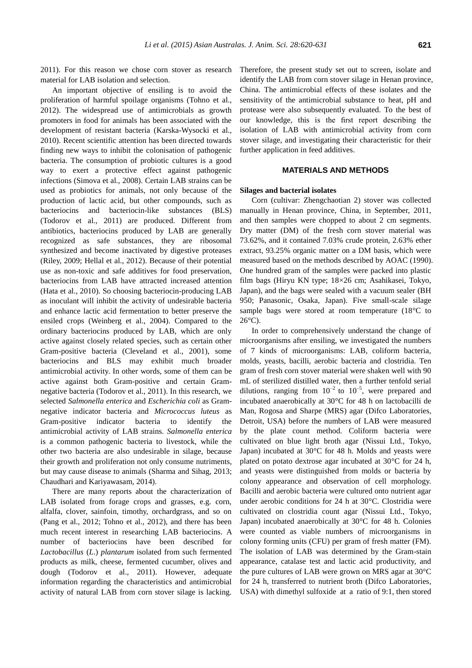2011). For this reason we chose corn stover as research material for LAB isolation and selection.

An important objective of ensiling is to avoid the proliferation of harmful spoilage organisms (Tohno et al., 2012). The widespread use of antimicrobials as growth promoters in food for animals has been associated with the development of resistant bacteria (Karska-Wysocki et al., 2010). Recent scientific attention has been directed towards finding new ways to inhibit the colonisation of pathogenic bacteria. The consumption of probiotic cultures is a good way to exert a protective effect against pathogenic infections (Simova et al., 2008). Certain LAB strains can be used as probiotics for animals, not only because of the production of lactic acid, but other compounds, such as bacteriocins and bacteriocin-like substances (BLS) (Todorov et al., 2011) are produced. Different from antibiotics, bacteriocins produced by LAB are generally recognized as safe substances, they are ribosomal synthesized and become inactivated by digestive proteases (Riley, 2009; Hellal et al., 2012). Because of their potential use as non-toxic and safe additives for food preservation, bacteriocins from LAB have attracted increased attention (Hata et al., 2010). So choosing bacteriocin-producing LAB as inoculant will inhibit the activity of undesirable bacteria and enhance lactic acid fermentation to better preserve the ensiled crops (Weinberg et al., 2004). Compared to the ordinary bacteriocins produced by LAB, which are only active against closely related species, such as certain other Gram-positive bacteria (Cleveland et al., 2001), some bacteriocins and BLS may exhibit much broader antimicrobial activity. In other words, some of them can be active against both Gram-positive and certain Gramnegative bacteria (Todorov et al., 2011). In this research, we selected *Salmonella enterica* and *Escherichia coli* as Gramnegative indicator bacteria and *Micrococcus luteus* as Gram-positive indicator bacteria to identify the antimicrobial activity of LAB strains. *Salmonella enterica* is a common pathogenic bacteria to livestock, while the other two bacteria are also undesirable in silage, because their growth and proliferation not only consume nutriments, but may cause disease to animals (Sharma and [Sihag,](http://www.ncbi.nlm.nih.gov/pubmed?term=Sihag%20RC%5BAuthor%5D&cauthor=true&cauthor_uid=24506024) 2013; Chaudhari and Kariyawasam, 2014).

There are many reports about the characterization of LAB isolated from forage crops and grasses, e.g. corn, alfalfa, clover, sainfoin, timothy, orchardgrass, and so on (Pang et al., 2012; Tohno et al., 2012), and there has been much recent interest in researching LAB bacteriocins. A number of bacteriocins have been described for *Lactobacillus* (*L*.) *plantarum* isolated from such fermented products as milk, cheese, fermented cucumber, olives and dough (Todorov et al., 2011). However, adequate information regarding the characteristics and antimicrobial activity of natural LAB from corn stover silage is lacking.

Therefore, the present study set out to screen, isolate and identify the LAB from corn stover silage in Henan province, China. The antimicrobial effects of these isolates and the sensitivity of the antimicrobial substance to heat, pH and protease were also subsequently evaluated. To the best of our knowledge, this is the first report describing the isolation of LAB with antimicrobial activity from corn stover silage, and investigating their characteristic for their further application in feed additives.

# **MATERIALS AND METHODS**

## **Silages and bacterial isolates**

Corn (cultivar: Zhengchaotian 2) stover was collected manually in Henan province, China, in September, 2011, and then samples were chopped to about 2 cm segments. Dry matter (DM) of the fresh corn stover material was 73.62%, and it contained 7.03% crude protein, 2.63% ether extract, 93.25% organic matter on a DM basis, which were measured based on the methods described by AOAC (1990). One hundred gram of the samples were packed into plastic film bags (Hiryu KN type; 18×26 cm; Asahikasei, Tokyo, Japan), and the bags were sealed with a vacuum sealer (BH 950; Panasonic, Osaka, Japan). Five small-scale silage sample bags were stored at room temperature (18°C to 26°C).

In order to comprehensively understand the change of microorganisms after ensiling, we investigated the numbers of 7 kinds of microorganisms: LAB, coliform bacteria, molds, yeasts, bacilli, aerobic bacteria and clostridia. Ten gram of fresh corn stover material were shaken well with 90 mL of sterilized distilled water, then a further tenfold serial dilutions, ranging from  $10^{-2}$  to  $10^{-5}$ , were prepared and incubated anaerobically at 30°C for 48 h on lactobacilli de Man, Rogosa and Sharpe (MRS) agar (Difco Laboratories, Detroit, USA) before the numbers of LAB were measured by the plate count method. Coliform bacteria were cultivated on blue light broth agar (Nissui Ltd., Tokyo, Japan) incubated at 30°C for 48 h. Molds and yeasts were plated on potato dextrose agar incubated at 30°C for 24 h, and yeasts were distinguished from molds or bacteria by colony appearance and observation of cell morphology. Bacilli and aerobic bacteria were cultured onto nutrient agar under aerobic conditions for 24 h at 30°C. Clostridia were cultivated on clostridia count agar (Nissui Ltd., Tokyo, Japan) incubated anaerobically at 30°C for 48 h. Colonies were counted as viable numbers of microorganisms in colony forming units (CFU) per gram of fresh matter (FM). The isolation of LAB was determined by the Gram-stain appearance, catalase test and lactic acid productivity, and the pure cultures of LAB were grown on MRS agar at 30°C for 24 h, transferred to nutrient broth (Difco Laboratories, USA) with dimethyl sulfoxide at a ratio of 9:1, then stored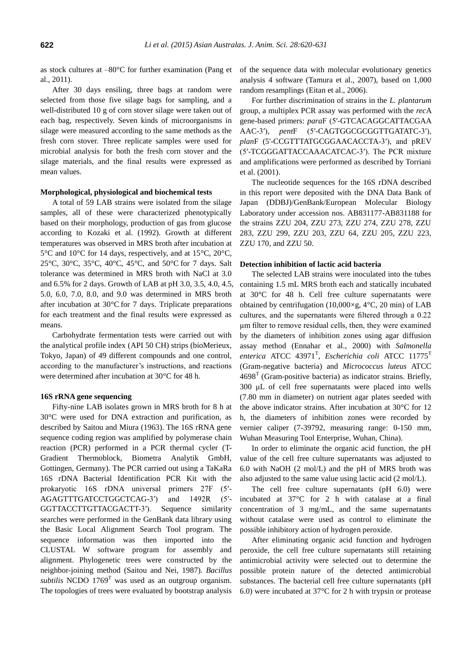as stock cultures at –80°C for further examination (Pang et al., 2011).

After 30 days ensiling, three bags at random were selected from those five silage bags for sampling, and a well-distributed 10 g of corn stover silage were taken out of each bag, respectively. Seven kinds of microorganisms in silage were measured according to the same methods as the fresh corn stover. Three replicate samples were used for microbial analysis for both the fresh corn stover and the silage materials, and the final results were expressed as mean values.

#### **Morphological, physiological and biochemical tests**

A total of 59 LAB strains were isolated from the silage samples, all of these were characterized phenotypically based on their morphology, production of gas from glucose according to Kozaki et al. (1992). Growth at different temperatures was observed in MRS broth after incubation at 5°C and 10°C for 14 days, respectively, and at 15°C, 20°C, 25°C, 30°C, 35°C, 40°C, 45°C, and 50°C for 7 days. Salt tolerance was determined in MRS broth with NaCl at 3.0 and 6.5% for 2 days. Growth of LAB at pH 3.0, 3.5, 4.0, 4.5, 5.0, 6.0, 7.0, 8.0, and 9.0 was determined in MRS broth after incubation at 30°C for 7 days. Triplicate preparations for each treatment and the final results were expressed as means.

Carbohydrate fermentation tests were carried out with the analytical profile index (API 50 CH) strips (bioMerieux, Tokyo, Japan) of 49 different compounds and one control, according to the manufacturer's instructions, and reactions were determined after incubation at 30°C for 48 h.

## **16S rRNA gene sequencing**

Fifty-nine LAB isolates grown in MRS broth for 8 h at 30°C were used for DNA extraction and purification, as described by Saitou and Miura (1963). The 16S rRNA gene sequence coding region was amplified by polymerase chain reaction (PCR) performed in a PCR thermal cycler (T-Gradient Thermoblock, Biometra Analytik GmbH, Gottingen, Germany). The PCR carried out using a TaKaRa 16S rDNA Bacterial Identification PCR Kit with the prokaryotic 16S rDNA universal primers 27F (5′- AGAGTTTGATCCTGGCTCAG-3′) and 1492R (5′- GGTTACCTTGTTACGACTT-3′). Sequence similarity searches were performed in the GenBank data library using the Basic Local Alignment Search Tool program. The sequence information was then imported into the CLUSTAL W software program for assembly and alignment. Phylogenetic trees were constructed by the neighbor-joining method (Saitou and Nei, 1987). *Bacillus subtilis* NCDO  $1769<sup>T</sup>$  was used as an outgroup organism. The topologies of trees were evaluated by bootstrap analysis of the sequence data with molecular evolutionary genetics analysis 4 software (Tamura et al., 2007), based on 1,000 random resamplings (Eitan et al., 2006).

For further discrimination of strains in the *L. plantarum* group, a multiplex PCR assay was performed with the *rec*A gene-based primers: *para*F (5′-GTCACAGGCATTACGAA AAC-3′), *pent*F (5′-CAGTGGCGCGGTTGATATC-3′), *plan*F (5'-CCGTTTATGCGGAACACCTA-3′), and pREV (5′-TCGGGATTACCAAACATCAC-3′). The PCR mixture and amplifications were performed as described by Torriani et al. (2001).

The nucleotide sequences for the 16S rDNA described in this report were deposited with the DNA Data Bank of Japan (DDBJ)/GenBank/European Molecular Biology Laboratory under accession nos. AB831177-AB831188 for the strains ZZU 204, ZZU 273, ZZU 274, ZZU 278, ZZU 283, ZZU 299, ZZU 203, ZZU 64, ZZU 205, ZZU 223, ZZU 170, and ZZU 50.

#### **Detection inhibition of lactic acid bacteria**

The selected LAB strains were inoculated into the tubes containing 1.5 mL MRS broth each and statically incubated at 30°C for 48 h. Cell free culture supernatants were obtained by centrifugation (10,000 $\times$ g, 4 $\degree$ C, 20 min) of LAB cultures, and the supernatants were filtered through a 0.22 μm filter to remove residual cells, then, they were examined by the diameters of inhibition zones using agar diffusion assay method (Ennahar et al., 2000) with *Salmonella*  enterica ATCC 43971<sup>T</sup>, *Escherichia coli* ATCC 11775<sup>T</sup> (Gram-negative bacteria) and *Micrococcus luteus* ATCC  $4698<sup>T</sup>$  (Gram-positive bacteria) as indicator strains. Briefly, 300 μL of cell free supernatants were placed into wells (7.80 mm in diameter) on nutrient agar plates seeded with the above indicator strains. After incubation at 30°C for 12 h, the diameters of inhibition zones were recorded by vernier caliper (7-39792, measuring range: 0-150 mm, Wuhan Measuring Tool Enterprise, Wuhan, China).

In order to eliminate the organic acid function, the pH value of the cell free culture supernatants was adjusted to 6.0 with NaOH (2 mol/L) and the pH of MRS broth was also adjusted to the same value using lactic acid (2 mol/L).

The cell free culture supernatants (pH 6.0) were incubated at 37°C for 2 h with catalase at a final concentration of 3 mg/mL, and the same supernatants without catalase were used as control to eliminate the possible inhibitory action of hydrogen peroxide.

After eliminating organic acid function and hydrogen peroxide, the cell free culture supernatants still retaining antimicrobial activity were selected out to determine the possible protein nature of the detected antimicrobial substances. The bacterial cell free culture supernatants (pH 6.0) were incubated at 37°C for 2 h with trypsin or protease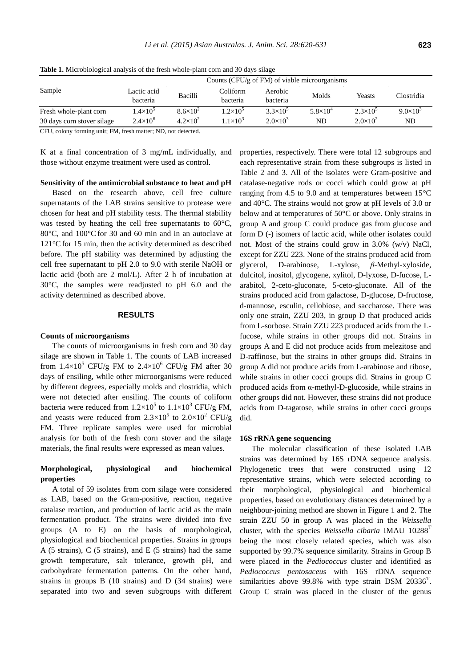|                            | Counts (CFU/g of FM) of viable microorganisms |                     |                      |                     |                     |                     |                   |  |  |
|----------------------------|-----------------------------------------------|---------------------|----------------------|---------------------|---------------------|---------------------|-------------------|--|--|
| Sample                     | Lactic acid<br><b>bacteria</b>                | Bacilli             | Coliform<br>bacteria | Aerobic<br>bacteria | Molds               | <b>Yeasts</b>       | Clostridia        |  |  |
| Fresh whole-plant corn     | $1.4 \times 10^{5}$                           | $8.6 \times 10^{2}$ | $1.2 \times 10^{5}$  | $3.3 \times 10^5$   | $5.8 \times 10^{4}$ | $2.3 \times 10^{5}$ | $9.0 \times 10^3$ |  |  |
| 30 days corn stover silage | $2.4 \times 10^{6}$                           | $4.2\times10^{2}$   | $1.1 \times 10^{3}$  | $2.0 \times 10^{3}$ | ND.                 | $2.0 \times 10^2$   | ND.               |  |  |
|                            |                                               |                     |                      |                     |                     |                     |                   |  |  |

**Table 1.** Microbiological analysis of the fresh whole-plant corn and 30 days silage

CFU, colony forming unit; FM, fresh matter; ND, not detected.

K at a final concentration of 3 mg/mL individually, and those without enzyme treatment were used as control.

### **Sensitivity of the antimicrobial substance to heat and pH**

Based on the research above, cell free culture supernatants of the LAB strains sensitive to protease were chosen for heat and pH stability tests. The thermal stability was tested by heating the cell free supernatants to 60 °C, 80 °C, and 100 °C for 30 and 60 min and in an autoclave at  $121^{\circ}$ C for 15 min, then the activity determined as described before. The pH stability was determined by adjusting the cell free supernatant to pH 2.0 to 9.0 with sterile NaOH or lactic acid (both are 2 mol/L). After 2 h of incubation at 30°C, the samples were readjusted to pH 6.0 and the activity determined as described above.

## **RESULTS**

## **Counts of microorganisms**

The counts of microorganisms in fresh corn and 30 day silage are shown in Table 1. The counts of LAB increased from  $1.4 \times 10^5$  CFU/g FM to  $2.4 \times 10^6$  CFU/g FM after 30 days of ensiling, while other microorganisms were reduced by different degrees, especially molds and clostridia, which were not detected after ensiling. The counts of coliform bacteria were reduced from  $1.2 \times 10^5$  to  $1.1 \times 10^3$  CFU/g FM, and yeasts were reduced from  $2.3 \times 10^5$  to  $2.0 \times 10^2$  CFU/g FM. Three replicate samples were used for microbial analysis for both of the fresh corn stover and the silage materials, the final results were expressed as mean values.

# **Morphological, physiological and biochemical properties**

A total of 59 isolates from corn silage were considered as LAB, based on the Gram-positive, reaction, negative catalase reaction, and production of lactic acid as the main fermentation product. The strains were divided into five groups (A to E) on the basis of morphological, physiological and biochemical properties. Strains in groups A (5 strains), C (5 strains), and E (5 strains) had the same growth temperature, salt tolerance, growth pH, and carbohydrate fermentation patterns. On the other hand, strains in groups B (10 strains) and D (34 strains) were separated into two and seven subgroups with different properties, respectively. There were total 12 subgroups and each representative strain from these subgroups is listed in Table 2 and 3. All of the isolates were Gram-positive and catalase-negative rods or cocci which could grow at pH ranging from 4.5 to 9.0 and at temperatures between  $15^{\circ}$ C and 40°C. The strains would not grow at pH levels of 3.0 or below and at temperatures of 50°C or above. Only strains in group A and group C could produce gas from glucose and form D (-) isomers of lactic acid, while other isolates could not. Most of the strains could grow in 3.0% (w/v) NaCl, except for ZZU 223. None of the strains produced acid from glycerol, D-arabinose, L-xylose, *β*-Methyl-xyloside, dulcitol, inositol, glycogene, xylitol, D-lyxose, D-fucose, Larabitol, 2-ceto-gluconate, 5-ceto-gluconate. All of the strains produced acid from galactose, D-glucose, D-fructose, d-mannose, esculin, cellobiose, and saccharose. There was only one strain, ZZU 203, in group D that produced acids from L-sorbose. Strain ZZU 223 produced acids from the Lfucose, while strains in other groups did not. Strains in groups A and E did not produce acids from melezitose and D-raffinose, but the strains in other groups did. Strains in group A did not produce acids from L-arabinose and ribose, while strains in other cocci groups did. Strains in group C produced acids from α-methyl-D-glucoside, while strains in other groups did not. However, these strains did not produce acids from D-tagatose, while strains in other cocci groups did.

## **16S rRNA gene sequencing**

The molecular classification of these isolated LAB strains was determined by 16S rDNA sequence analysis. Phylogenetic trees that were constructed using 12 representative strains, which were selected according to their morphological, physiological and biochemical properties, based on evolutionary distances determined by a neighbour-joining method are shown in Figure 1 and 2. The strain ZZU 50 in group A was placed in the *Weissella*  cluster, with the species *Weissella cibaria* IMAU 10288<sup>1</sup> being the most closely related species, which was also supported by 99.7% sequence similarity. Strains in Group B were placed in the *Pediococcus* cluster and identified as *Pediococcus pentosaceus* with 16S rDNA sequence similarities above 99.8% with type strain DSM  $20336<sup>T</sup>$ . Group C strain was placed in the cluster of the genus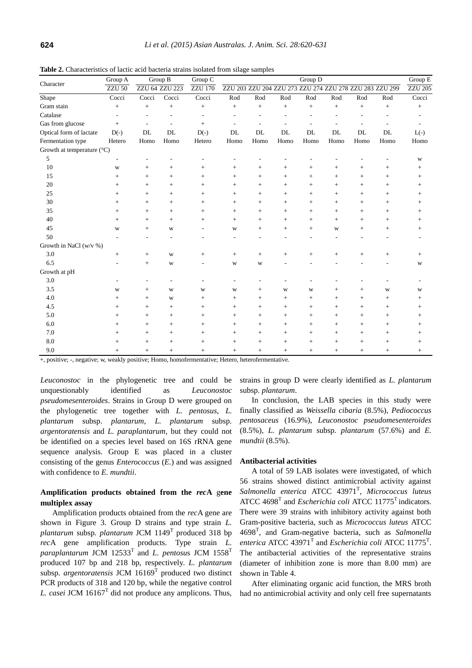|                                     | Group A            | Group B            |                |                | Group D<br>Group C                                      |                |                |                   |                |        |                          |                    |
|-------------------------------------|--------------------|--------------------|----------------|----------------|---------------------------------------------------------|----------------|----------------|-------------------|----------------|--------|--------------------------|--------------------|
| Character                           | <b>ZZU 50</b>      | ZZU 64 ZZU 223     |                | <b>ZZU 170</b> | ZZU 203 ZZU 204 ZZU 273 ZZU 274 ZZU 278 ZZU 283 ZZU 299 |                |                |                   |                |        |                          |                    |
| Shape                               | Cocci              | Cocci              | Cocci          | Cocci          | Rod                                                     | Rod            | Rod            | Rod               | Rod            | Rod    | Rod                      | Cocci              |
| Gram stain                          | $\! +$             | $\! +$             | $^{+}$         | $^{+}$         | $+$                                                     | $^{+}$         | $^{+}$         | $+$               | $^{+}$         | $^{+}$ | $^{+}$                   | $^{+}$             |
| Catalase                            | ٠                  | ٠                  | $\overline{a}$ | $\sim$         | $\overline{a}$                                          | $\overline{a}$ | $\overline{a}$ | ٠                 | $\overline{a}$ | L,     | $\overline{\phantom{a}}$ |                    |
| Gas from glucose                    | $^{+}$             |                    | L.             | $^{+}$         | $\overline{a}$                                          |                | ÷.             |                   |                |        |                          |                    |
| Optical form of lactate             | $D(-)$             | DL                 | DL             | $D(-)$         | DL                                                      | DL             | DL             | DL                | DL             | DL     | DL                       | $L(-)$             |
| Fermentation type                   | Hetero             | Homo               | Homo           | Hetero         | Homo                                                    | Homo           | Homo           | Homo              | Homo           | Homo   | Homo                     | Homo               |
| Growth at temperature $(^{\circ}C)$ |                    |                    |                |                |                                                         |                |                |                   |                |        |                          |                    |
| 5                                   |                    |                    |                |                |                                                         |                |                |                   |                |        |                          | W                  |
| 10                                  | W                  | $^{+}$             | $+$            | $+$            | $^{+}$                                                  | $^{+}$         | $+$            | $^{+}$            | $+$            | $^{+}$ | $\! +$                   | $+$                |
| 15                                  | $^{+}$             | $^{+}$             | $+$            | $+$            | $+$                                                     | $^{+}$         | $+$            | $+$               | $^{+}$         | $+$    | $\ddot{}$                | $\hspace{0.1mm} +$ |
| $20\,$                              | $^{+}$             | $+$                | $+$            | $+$            | $+$                                                     | $+$            | $+$            | $+$               | $+$            | $+$    | $+$                      | $^{+}$             |
| 25                                  | $+$                | $^{+}$             | $+$            | $+$            | $+$                                                     | $^{+}$         | $+$            | $+$               | $^{+}$         | $+$    | $^{+}$                   | $\hspace{0.1mm} +$ |
| 30                                  | $+$                | $^{+}$             | $\ddot{}$      | $^{+}$         | $^{+}$                                                  | $^{+}$         | $^{+}$         | $^{+}$            | $^{+}$         | $^{+}$ | $^{+}$                   | $\hspace{0.1mm} +$ |
| 35                                  | $^{+}$             | $+$                | $+$            | $+$            | $+$                                                     | $^{+}$         | $+$            | $^{+}$            | $+$            | $+$    | $^{+}$                   | $^{+}$             |
| 40                                  | $+$                | $\! + \!\!\!\!$    | $+$            | $^{+}$         | $+$                                                     | $^{+}$         | $^{+}$         | $^{+}$            | $^{+}$         | $^{+}$ | $\! +$                   | $\hspace{0.1mm} +$ |
| 45                                  | W                  | $^{+}$             | W              |                | W                                                       | $^{+}$         | $+$            | $\qquad \qquad +$ | W              | $^{+}$ | $\! +$                   | $^{+}$             |
| 50                                  |                    |                    |                |                | ٠                                                       |                | ٠              |                   | $\overline{a}$ |        |                          |                    |
| Growth in NaCl (w/v %)              |                    |                    |                |                |                                                         |                |                |                   |                |        |                          |                    |
| 3.0                                 | $^{+}$             | $^{+}$             | W              | $\! +$         | $\qquad \qquad +$                                       | $^{+}$         | $+$            | $^{+}$            | $^{+}$         | $^{+}$ |                          | $\hspace{0.1mm} +$ |
| 6.5                                 |                    | $+$                | W              | ٠              | W                                                       | W              |                |                   |                |        |                          | W                  |
| Growth at pH                        |                    |                    |                |                |                                                         |                |                |                   |                |        |                          |                    |
| 3.0                                 |                    |                    |                |                | $\overline{a}$                                          |                |                |                   |                |        |                          |                    |
| 3.5                                 | W                  | $^{+}$             | W              | W              | W                                                       | $^{+}$         | W              | W                 | $^{+}$         | $^{+}$ | W                        | W                  |
| 4.0                                 | $\hspace{0.1mm} +$ | $\! +$             | W              | $^{+}$         | $^{+}$                                                  | $^{+}$         | $^{+}$         | $^{+}$            | $^{+}$         | $^{+}$ | $\! +$                   | $\hspace{0.1mm} +$ |
| 4.5                                 | $^{+}$             | $\! +$             | $^{+}$         | $^{+}$         | $+$                                                     | $^{+}$         | $^{+}$         | $\qquad \qquad +$ | $^{+}$         | $^{+}$ | $\ddot{}$                | $^{+}$             |
| 5.0                                 | $^{+}$             | $^{+}$             | $^{+}$         | $^{+}$         | $^{+}$                                                  | $^{+}$         | $^{+}$         | $^{+}$            | $^{+}$         | $^{+}$ | $^{+}$                   | $\hspace{0.1mm} +$ |
| 6.0                                 | $^{+}$             | $+$                | $+$            | $+$            | $+$                                                     | $^{+}$         | $+$            | $+$               | $+$            | $+$    | $\! +$                   | $^{+}$             |
| 7.0                                 |                    | $\hspace{0.1mm} +$ | $+$            | $+$            | $+$                                                     | $^{+}$         | $+$            | $^{+}$            | $^{+}$         | $^{+}$ | $^{+}$                   | $^+$               |
| 8.0                                 | $^+$               | $^{+}$             | $+$            | $+$            | $+$                                                     | $^{+}$         | $+$            | $+$               | $+$            | $+$    | $^{+}$                   | $^+$               |
| 9.0                                 | $+$                | $+$                | $+$            | $+$            | $+$                                                     | $+$            | $+$            | $+$               | $+$            | $+$    | $\! + \!\!\!\!$          | $+$                |

**Table 2.** Characteristics of lactic acid bacteria strains isolated from silage samples

+, positive; -, negative; w, weakly positive; Homo, homofermentative; Hetero, heterofermentative.

*Leuconostoc* in the phylogenetic tree and could be unquestionably identified as *Leuconostoc pseudomesenteroides*. Strains in Group D were grouped on the phylogenetic tree together with *L. pentosus*, *L. plantarum* subsp. *plantarum*, *L. plantarum* subsp. *argentoratensis* and *L. paraplantarum*, but they could not be identified on a species level based on 16S rRNA gene sequence analysis. Group E was placed in a cluster consisting of the genus *Enterococcus* (*E.*) and was assigned with confidence to *E. mundtii*.

# **Amplification products obtained from the** *rec***A** g**ene multiplex assay**

Amplification products obtained from the *rec*A gene are shown in Figure 3. Group D strains and type strain *L. plantarum* subsp. *plantarum* JCM 1149<sup>T</sup> produced 318 bp *rec*A gene amplification products. Type strain *L.*   $\alpha$ *paraplantarum* JCM 12533<sup>T</sup> and *L. pentosus* JCM 1558<sup>T</sup> produced 107 bp and 218 bp, respectively. *L. plantarum* subsp. *argentoratensis* JCM 16169<sup>T</sup> produced two distinct PCR products of 318 and 120 bp, while the negative control *L. casei* JCM 16167<sup>T</sup> did not produce any amplicons. Thus,

strains in group D were clearly identified as *L. plantarum* subsp. *plantarum*.

In conclusion, the LAB species in this study were finally classified as *Weissella cibaria* (8.5%), *Pediococcus pentosaceus* (16.9%), *Leuconostoc pseudomesenteroides* (8.5%), *L. plantarum* subsp*. plantarum* (57.6%) and *E. mundtii* (8.5%).

## **Antibacterial activities**

A total of 59 LAB isolates were investigated, of which 56 strains showed distinct antimicrobial activity against *Salmonella enterica* ATCC 43971<sup>T</sup> , *Micrococcus luteus*  ATCC 4698<sup>T</sup> and *Escherichia coli* ATCC 11775<sup>T</sup> indicators. There were 39 strains with inhibitory activity against both Gram-positive bacteria, such as *Micrococcus luteus* ATCC 4698<sup>T</sup> , and Gram-negative bacteria, such as *Salmonella*  enterica ATCC  $43971<sup>T</sup>$  and *Escherichia coli* ATCC  $11775<sup>T</sup>$ . The antibacterial activities of the representative strains (diameter of inhibition zone is more than 8.00 mm) are shown in Table 4.

After eliminating organic acid function, the MRS broth had no antimicrobial activity and only cell free supernatants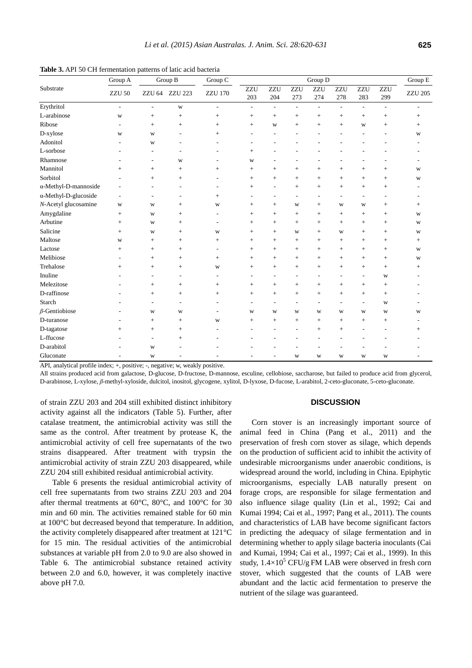|                              | Group A         | Group B                  |                 | Group $\mathcal C$ | Group D    |                          |            |                          |                          |                          |                 | Group E        |
|------------------------------|-----------------|--------------------------|-----------------|--------------------|------------|--------------------------|------------|--------------------------|--------------------------|--------------------------|-----------------|----------------|
| Substrate                    | <b>ZZU 50</b>   | ZZU 64                   | <b>ZZU 223</b>  | <b>ZZU 170</b>     | ZZU<br>203 | ZZU<br>204               | ZZU<br>273 | ZZU<br>274               | ZZU<br>278               | <b>ZZU</b><br>283        | ZZU<br>299      | <b>ZZU 205</b> |
| Erythritol                   | ٠               | ٠                        | W               |                    |            | ÷,                       | ÷,         | $\overline{\phantom{a}}$ | $\overline{\phantom{a}}$ | ÷,                       |                 |                |
| L-arabinose                  | W               | $^{+}$                   | $^{+}$          | $^{+}$             | $^{+}$     | $^{+}$                   | $^{+}$     | $\! + \!\!\!\!$          | $^{+}$                   | $^{+}$                   |                 | $^{+}$         |
| Ribose                       |                 | $+$                      | $^{+}$          | $^{+}$             | $^{+}$     | W                        | $+$        | $+$                      | $+$                      | W                        |                 | $^{+}$         |
| D-xylose                     | W               | W                        |                 | $^{+}$             |            |                          |            |                          |                          |                          |                 | W              |
| Adonitol                     |                 | W                        | ۰               |                    |            |                          |            |                          |                          |                          |                 |                |
| L-sorbose                    |                 |                          |                 |                    | $^{+}$     | ٠                        |            |                          |                          |                          |                 |                |
| Rhamnose                     |                 | ÷                        | W               |                    | W          |                          |            |                          |                          |                          |                 |                |
| Mannitol                     | $\! + \!\!\!\!$ | $^{+}$                   | $^{+}$          | $^{+}$             | $^{+}$     | $^{+}$                   | $+$        | $+$                      | $^{+}$                   | $^{+}$                   | $\! + \!\!\!\!$ | W              |
| Sorbitol                     |                 | $+$                      | $^{+}$          |                    | $^{+}$     | $^{+}$                   | $+$        | $+$                      | $^{+}$                   | $^{+}$                   |                 | W              |
| $\alpha$ -Methyl-D-mannoside |                 | L                        | ۰               |                    | $^{+}$     | ٠                        | $+$        | $+$                      | $+$                      | $^{+}$                   | $+$             |                |
| α-Methyl-D-glucoside         |                 | ٠                        |                 | $^{+}$             |            | ٠                        |            |                          | ٠                        | $\overline{\phantom{a}}$ |                 |                |
| N-Acetyl glucosamine         | W               | W                        | $\! + \!\!\!\!$ | W                  | $^{+}$     | $^{+}$                   | W          | $+$                      | W                        | W                        | $\! + \!\!\!\!$ | $^{+}$         |
| Amygdaline                   | $\! + \!\!\!\!$ | W                        | $^{+}$          |                    | $^{+}$     | $^{+}$                   | $+$        | $+$                      | $\qquad \qquad +$        | $^{+}$                   | $^{+}$          | $\mathbf W$    |
| Arbutine                     | $^{+}$          | W                        | $^{+}$          |                    | $^{+}$     | $+$                      | $+$        | $+$                      | $+$                      | $+$                      | $+$             | W              |
| Salicine                     | $^{+}$          | W                        | $^{+}$          | W                  | $^{+}$     | $^{+}$                   | W          | $+$                      | W                        | $^{+}$                   | $^{+}$          | W              |
| Maltose                      | W               | $^{+}$                   | $^{+}$          | $^{+}$             | $^{+}$     | $^{+}$                   | $+$        | $+$                      | $\qquad \qquad +$        | $^{+}$                   | $^{+}$          | $^{+}$         |
| Lactose                      | $^{+}$          | $+$                      | $^{+}$          |                    | $^{+}$     | $^{+}$                   | $+$        | $+$                      | $+$                      | $+$                      | $+$             | W              |
| Melibiose                    |                 | $^{+}$                   |                 | $^{+}$             | $^{+}$     | $^{+}$                   | $^{+}$     | $+$                      | $\ddot{}$                | $^{+}$                   |                 | W              |
| Trehalose                    | $^{+}$          | $+$                      | $^{+}$          | W                  | $^{+}$     | $^{+}$                   | $^{+}$     | $^{+}$                   | $^{+}$                   | $^{+}$                   | $^{+}$          | $^{+}$         |
| Inuline                      |                 | ۰                        | ٠               |                    |            | ٠                        | $\sim$     | $\overline{\phantom{a}}$ | ٠                        | $\overline{\phantom{a}}$ | W               |                |
| Melezitose                   |                 | $+$                      | $^{+}$          | $\hspace{0.1mm} +$ | $^{+}$     | $^{+}$                   | $+$        | $+$                      | $^{+}$                   | $+$                      | $+$             |                |
| D-raffinose                  |                 | $+$                      | $^{+}$          | $^{+}$             | $^{+}$     | $^{+}$                   | $+$        | $+$                      | $+$                      | $^{+}$                   | $\! + \!\!\!\!$ |                |
| Starch                       |                 | -                        | $\qquad \qquad$ |                    |            | $\overline{a}$           |            |                          |                          | $\overline{a}$           | W               |                |
| $\beta$ -Gentiobiose         |                 | W                        | W               |                    | W          | W                        | W          | W                        | W                        | W                        | W               | W              |
| D-turanose                   |                 | $^{+}$                   | $^{+}$          | W                  | $^{+}$     | $^{+}$                   | $+$        | $+$                      | $+$                      | $^{+}$                   | $\! + \!\!\!\!$ |                |
| D-tagatose                   | $^{+}$          | $^{+}$                   | $^{+}$          |                    |            |                          |            | $+$                      | $^{+}$                   |                          |                 | $^{+}$         |
| L-ffucose                    |                 | $\overline{\phantom{a}}$ | $\! + \!\!\!\!$ |                    |            |                          |            |                          |                          |                          |                 |                |
| D-arabitol                   |                 | W                        |                 |                    |            |                          |            |                          |                          |                          |                 |                |
| Gluconate                    |                 | W                        |                 |                    |            | $\overline{\phantom{a}}$ | W          | W                        | W                        | W                        | W               |                |

**Table 3.** API 50 CH fermentation patterns of latic acid bacteria

API, analytical profile index; +, positive; -, negative; w, weakly positive.

All strains produced acid from galactose, D-glucose, D-fructose, D-mannose, esculine, cellobiose, saccharose, but failed to produce acid from glycerol, D-arabinose, L-xylose, *β*-methyl-xyloside, dulcitol, inositol, glycogene, xylitol, D-lyxose, D-fucose, L-arabitol, 2-ceto-gluconate, 5-ceto-gluconate.

of strain ZZU 203 and 204 still exhibited distinct inhibitory activity against all the indicators (Table 5). Further, after catalase treatment, the antimicrobial activity was still the same as the control. After treatment by protease K, the antimicrobial activity of cell free supernatants of the two strains disappeared. After treatment with trypsin the antimicrobial activity of strain ZZU 203 disappeared, while ZZU 204 still exhibited residual antimicrobial activity.

Table 6 presents the residual antimicrobial activity of cell free supernatants from two strains ZZU 203 and 204 after thermal treatments at 60 °C, 80 °C, and 100 °C for 30 min and 60 min. The activities remained stable for 60 min at 100°C but decreased beyond that temperature. In addition, the activity completely disappeared after treatment at 121°C for 15 min. The residual activities of the antimicrobial substances at variable pH from 2.0 to 9.0 are also showed in Table 6. The antimicrobial substance retained activity between 2.0 and 6.0, however, it was completely inactive above pH 7.0.

#### **DISCUSSION**

Corn stover is an increasingly important source of animal feed in China (Pang et al., 2011) and the preservation of fresh corn stover as silage, which depends on the production of sufficient acid to inhibit the activity of undesirable microorganisms under anaerobic conditions, is widespread around the world, including in China. Epiphytic microorganisms, especially LAB naturally present on forage crops, are responsible for silage fermentation and also influence silage quality (Lin et al., 1992; Cai and Kumai 1994; Cai et al., 1997; Pang et al., 2011). The counts and characteristics of LAB have become significant factors in predicting the adequacy of silage fermentation and in determining whether to apply silage bacteria inoculants (Cai and Kumai, 1994; Cai et al., 1997; Cai et al., 1999). In this study,  $1.4 \times 10^5$  CFU/g FM LAB were observed in fresh corn stover, which suggested that the counts of LAB were abundant and the lactic acid fermentation to preserve the nutrient of the silage was guaranteed.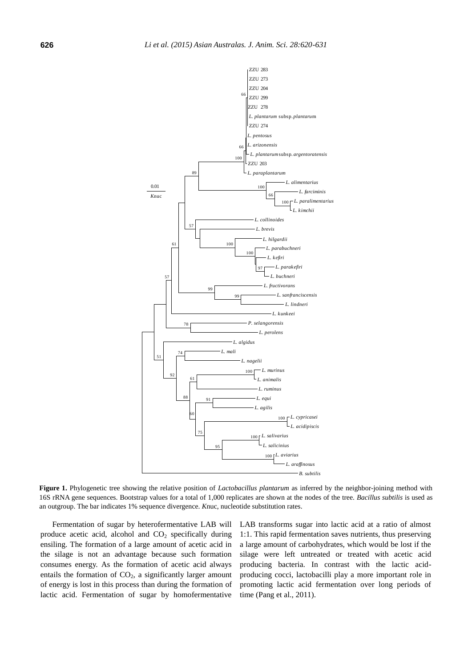

**Figure 1.** Phylogenetic tree showing the relative position of *Lactobacillus plantarum* as inferred by the neighbor-joining method with 16S rRNA gene sequences. Bootstrap values for a total of 1,000 replicates are shown at the nodes of the tree. *Bacillus subtilis* is used as an outgroup. The bar indicates 1% sequence divergence. *K*nuc, nucleotide substitution rates.

Fermentation of sugar by heterofermentative LAB will produce acetic acid, alcohol and  $CO<sub>2</sub>$  specifically during ensiling. The formation of a large amount of acetic acid in the silage is not an advantage because such formation consumes energy. As the formation of acetic acid always entails the formation of  $CO<sub>2</sub>$ , a significantly larger amount of energy is lost in this process than during the formation of lactic acid. Fermentation of sugar by homofermentative

LAB transforms sugar into lactic acid at a ratio of almost 1:1. This rapid fermentation saves nutrients, thus preserving a large amount of carbohydrates, which would be lost if the silage were left untreated or treated with acetic acid producing bacteria. In contrast with the lactic acidproducing cocci, lactobacilli play a more important role in promoting lactic acid fermentation over long periods of time (Pang et al., 2011).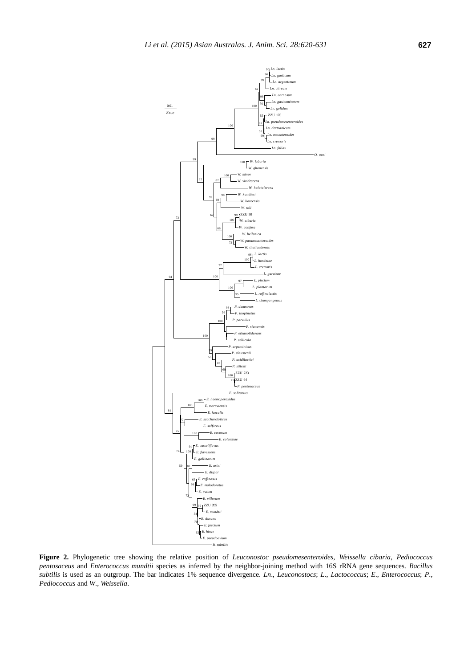

**Figure 2.** Phylogenetic tree showing the relative position of *Leuconostoc pseudomesenteroides*, *Weissella cibaria*, *Pediococcus pentosaceus* and *Enterococcus mundtii* species as inferred by the neighbor-joining method with 16S rRNA gene sequences. *Bacillus subtilis* is used as an outgroup. The bar indicates 1% sequence divergence. *Ln*., *Leuconostocs*; *L*., *Lactococcus*; *E*., *Enterococcus*; *P*., *Pediococcus* and *W*., *Weissella*.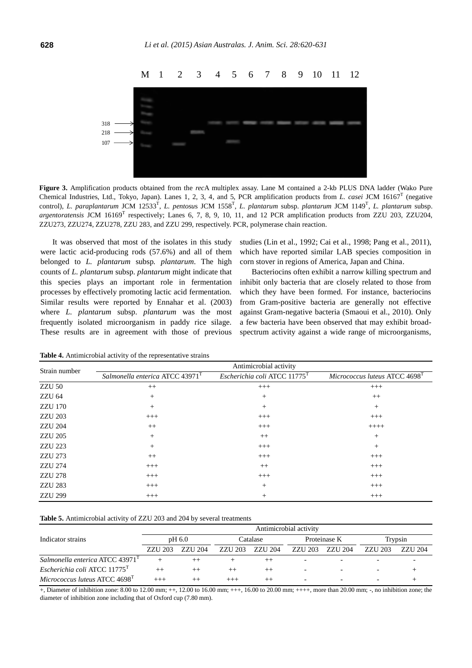

**Figure 3.** Amplification products obtained from the *rec*A multiplex assay. Lane M contained a 2-kb PLUS DNA ladder (Wako Pure Chemical Industries, Ltd., Tokyo, Japan). Lanes 1, 2, 3, 4, and 5, PCR amplification products from *L. casei* JCM 16167<sup>T</sup> (negative control), *L. paraplantarum* JCM 12533<sup>T</sup> , *L. pentosu*s JCM 1558<sup>T</sup> , *L. plantarum* subsp. *plantarum* JCM 1149<sup>T</sup> , *L. plantarum* subsp. argentoratensis JCM 16169<sup>T</sup> respectively; Lanes 6, 7, 8, 9, 10, 11, and 12 PCR amplification products from ZZU 203, ZZU204, ZZU273, ZZU274, ZZU278, ZZU 283, and ZZU 299, respectively. PCR, polymerase chain reaction.

 It was observed that most of the isolates in this study were lactic acid-producing rods (57.6%) and all of them belonged to *L. plantarum* subsp*. plantarum*. The high counts of *L. plantarum* subsp. *plantarum* might indicate that this species plays an important role in fermentation processes by effectively promoting lactic acid fermentation. Similar results were reported by Ennahar et al. (2003) where *L. plantarum* subsp. *plantarum* was the most frequently isolated microorganism in paddy rice silage. These results are in agreement with those of previous

studies (Lin et al., 1992; Cai et al., 1998; Pang et al., 2011), which have reported similar LAB species composition in corn stover in regions of America, Japan and China.

Bacteriocins often exhibit a narrow killing spectrum and inhibit only bacteria that are closely related to those from which they have been formed. For instance, bacteriocins from Gram-positive bacteria are generally not effective against Gram-negative bacteria (Smaoui et al., 2010). Only a few bacteria have been observed that may exhibit broadspectrum activity against a wide range of microorganisms,

|                | Antimicrobial activity                      |                                          |                                           |  |  |  |  |  |  |  |
|----------------|---------------------------------------------|------------------------------------------|-------------------------------------------|--|--|--|--|--|--|--|
| Strain number  | Salmonella enterica ATCC 43971 <sup>T</sup> | Escherichia coli ATCC 11775 <sup>T</sup> | Micrococcus luteus ATCC 4698 <sup>T</sup> |  |  |  |  |  |  |  |
| ZZU 50         | $++$                                        | $+++$                                    | $^{+++}$                                  |  |  |  |  |  |  |  |
| ZZU 64         | $+$                                         | $^{+}$                                   | $++$                                      |  |  |  |  |  |  |  |
| <b>ZZU 170</b> | $+$                                         | $^{+}$                                   | $^{+}$                                    |  |  |  |  |  |  |  |
| <b>ZZU 203</b> | $^{+++}$                                    | $^{+++}$                                 | $^{+++}$                                  |  |  |  |  |  |  |  |
| <b>ZZU 204</b> | $++$                                        | $^{+++}$                                 | $++++-$                                   |  |  |  |  |  |  |  |
| <b>ZZU 205</b> | $^{+}$                                      | $++$                                     | $+$                                       |  |  |  |  |  |  |  |
| <b>ZZU 223</b> | $^{+}$                                      | $^{+++}$                                 | $^{+}$                                    |  |  |  |  |  |  |  |
| <b>ZZU 273</b> | $^{++}$                                     | $^{+++}$                                 | $^{+++}$                                  |  |  |  |  |  |  |  |
| ZZU 274        | $+++$                                       | $++$                                     | $^{+++}$                                  |  |  |  |  |  |  |  |
| <b>ZZU 278</b> | $^{+++}$                                    | $+++$                                    | $+++$                                     |  |  |  |  |  |  |  |
| <b>ZZU 283</b> | $+++$                                       | $^{+}$                                   | $+++$                                     |  |  |  |  |  |  |  |
| <b>ZZU 299</b> | $+++$                                       |                                          | $+++$                                     |  |  |  |  |  |  |  |

**Table 4.** Antimicrobial activity of the representative strains

|                                             | Antimicrobial activity |         |          |         |         |              |         |                |  |  |  |
|---------------------------------------------|------------------------|---------|----------|---------|---------|--------------|---------|----------------|--|--|--|
| Indicator strains                           | pH 6.0                 |         | Catalase |         |         | Proteinase K | Trypsin |                |  |  |  |
|                                             | <b>ZZU 203</b>         | ZZU 204 | ZZU 203  | ZZU 204 | ZZU 203 | ZZU 204      | ZZU 203 | <b>ZZU</b> 204 |  |  |  |
| Salmonella enterica ATCC 43971 <sup>1</sup> |                        |         |          |         |         |              |         |                |  |  |  |
| Escherichia coli ATCC 11775 <sup>T</sup>    |                        |         |          |         |         |              |         |                |  |  |  |
| Micrococcus luteus ATCC 4698 <sup>T</sup>   |                        |         |          |         |         |              |         |                |  |  |  |

+, Diameter of inhibition zone: 8.00 to 12.00 mm; ++, 12.00 to 16.00 mm; +++, 16.00 to 20.00 mm; ++++, more than 20.00 mm; -, no inhibition zone; the diameter of inhibition zone including that of Oxford cup (7.80 mm).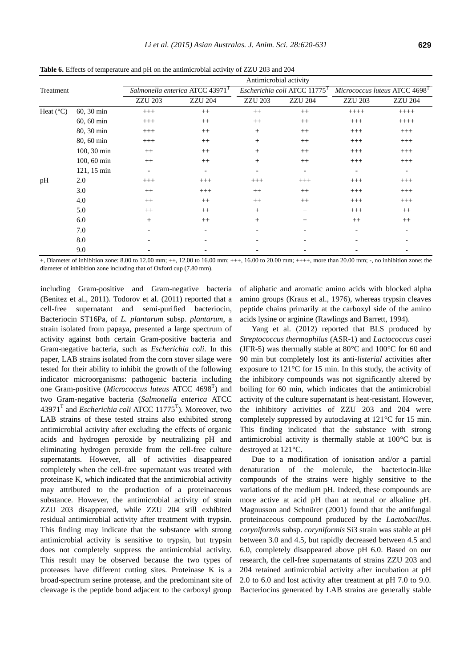|                    |              | Antimicrobial activity |                                             |                |                                          |                              |                          |  |  |  |  |
|--------------------|--------------|------------------------|---------------------------------------------|----------------|------------------------------------------|------------------------------|--------------------------|--|--|--|--|
| Treatment          |              |                        | Salmonella enterica ATCC 43971 <sup>1</sup> |                | Escherichia coli ATCC 11775 <sup>T</sup> | Micrococcus luteus ATCC 4698 |                          |  |  |  |  |
|                    |              | <b>ZZU 203</b>         | <b>ZZU 204</b>                              | <b>ZZU 203</b> | <b>ZZU 204</b>                           | <b>ZZU 203</b>               | <b>ZZU 204</b>           |  |  |  |  |
| Heat $(^{\circ}C)$ | 60, 30 min   | $^{+++}$               | $^{++}$                                     | $^{++}$        | $++$                                     | $+++++$                      | $++++$                   |  |  |  |  |
|                    | $60, 60$ min | $^{+++}$               | $^{++}$                                     | $^{++}$        | $++$                                     | $^{+++}$                     | $+++++$                  |  |  |  |  |
|                    | 80, 30 min   | $^{+++}$               | $^{++}$                                     | $+$            | $++$                                     | $^{+++}$                     | $^{+++}$                 |  |  |  |  |
|                    | 80, 60 min   | $+++$                  | $++$                                        | $+$            | $++$                                     | $^{+++}$                     | $+++$                    |  |  |  |  |
|                    | 100, 30 min  | $^{++}$                | $^{++}$                                     | $+$            | $++$                                     | $^{+++}$                     | $^{+++}$                 |  |  |  |  |
|                    | 100, 60 min  | $++$                   | $++$                                        | $+$            | $++$                                     | $^{+++}$                     | $^{+++}$                 |  |  |  |  |
|                    | 121, 15 min  |                        | $\overline{\phantom{0}}$                    |                | $\overline{\phantom{0}}$                 |                              | $\overline{\phantom{a}}$ |  |  |  |  |
| pH                 | 2.0          | $+++$                  | $+++$                                       | $+++$          | $+++$                                    | $+++$                        | $+++$                    |  |  |  |  |
|                    | 3.0          | $++$                   | $+++$                                       | $++$           | $++$                                     | $+++$                        | $^{+++}$                 |  |  |  |  |
|                    | 4.0          | $++$                   | $++$                                        | $^{++}$        | $++$                                     | $+++$                        | $^{+++}$                 |  |  |  |  |
|                    | 5.0          | $++$                   | $++$                                        | $+$            | $+$                                      | $^{+++}$                     | $++$                     |  |  |  |  |
|                    | 6.0          | $^{+}$                 | $++$                                        | $^{+}$         | $^{+}$                                   | $++$                         | $++$                     |  |  |  |  |
|                    |              |                        |                                             |                |                                          |                              |                          |  |  |  |  |

**Table 6.** Effects of temperature and pH on the antimicrobial activity of ZZU 203 and 204

 $+$ , Diameter of inhibition zone: 8.00 to 12.00 mm;  $++$ , 12.00 to 16.00 mm;  $++$ , 16.00 to 20.00 mm;  $++$ , more than 20.00 mm;  $-$ , no inhibition zone; the diameter of inhibition zone including that of Oxford cup (7.80 mm).

7.0 - - - - - -  $8.0$ 9.0 - - - - - -

including Gram-positive and Gram-negative bacteria (Benitez et al., 2011). Todorov et al. (2011) reported that a cell-free supernatant and semi-purified bacteriocin, Bacteriocin ST16Pa, of *L. plantarum* subsp. *plantarum*, a strain isolated from papaya, presented a large spectrum of activity against both certain Gram-positive bacteria and Gram-negative bacteria, such as *Escherichia coli*. In this paper, LAB strains isolated from the corn stover silage were tested for their ability to inhibit the growth of the following indicator microorganisms: pathogenic bacteria including one Gram-positive (*Micrococcus luteus* ATCC 4698<sup>T</sup> ) and two Gram-negative bacteria (*Salmonella enterica* ATCC 43971<sup>T</sup> and *Escherichia coli* ATCC 11775<sup>T</sup>). Moreover, two LAB strains of these tested strains also exhibited strong antimicrobial activity after excluding the effects of organic acids and hydrogen peroxide by neutralizing pH and eliminating hydrogen peroxide from the cell-free culture supernatants. However, all of activities disappeared completely when the cell-free supernatant was treated with proteinase K, which indicated that the antimicrobial activity may attributed to the production of a proteinaceous substance. However, the antimicrobial activity of strain ZZU 203 disappeared, while ZZU 204 still exhibited residual antimicrobial activity after treatment with trypsin. This finding may indicate that the substance with strong antimicrobial activity is sensitive to trypsin, but trypsin does not completely suppress the antimicrobial activity. This result may be observed because the two types of proteases have different cutting sites. Proteinase K is a broad-spectrum serine protease, and the predominant site of cleavage is the peptide bond adjacent to the carboxyl group

of aliphatic and aromatic amino acids with blocked alpha amino groups (Kraus et al., 1976), whereas trypsin cleaves peptide chains primarily at the carboxyl side of the amino acids lysine or arginine (Rawlings and Barrett, 1994).

Yang et al. (2012) reported that BLS produced by *Streptococcus thermophilus* (ASR-1) and *Lactococcus casei* (JFR-5) was thermally stable at  $80^{\circ}$ C and  $100^{\circ}$ C for 60 and 90 min but completely lost its anti-*listerial* activities after exposure to 121°C for 15 min. In this study, the activity of the inhibitory compounds was not significantly altered by boiling for 60 min, which indicates that the antimicrobial activity of the culture supernatant is heat-resistant. However, the inhibitory activities of ZZU 203 and 204 were completely suppressed by autoclaving at 121°C for 15 min. This finding indicated that the substance with strong antimicrobial activity is thermally stable at 100°C but is destroyed at 121°C.

Due to a modification of ionisation and/or a partial denaturation of the molecule, the bacteriocin-like compounds of the strains were highly sensitive to the variations of the medium pH. Indeed, these compounds are more active at acid pH than at neutral or alkaline pH. Magnusson and Schnürer (2001) found that the antifungal proteinaceous compound produced by the *Lactobacillus. coryniformis* subsp. *coryniformis* Si3 strain was stable at pH between 3.0 and 4.5, but rapidly decreased between 4.5 and 6.0, completely disappeared above pH 6.0. Based on our research, the cell-free supernatants of strains ZZU 203 and 204 retained antimicrobial activity after incubation at pH 2.0 to 6.0 and lost activity after treatment at pH 7.0 to 9.0. Bacteriocins generated by LAB strains are generally stable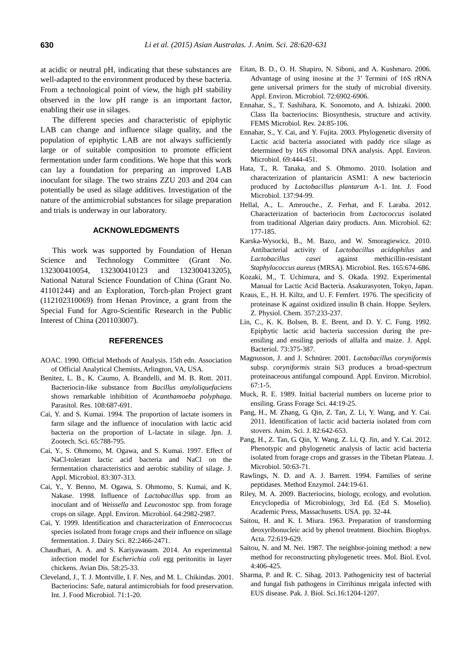at acidic or neutral pH, indicating that these substances are well-adapted to the environment produced by these bacteria. From a technological point of view, the high pH stability observed in the low pH range is an important factor, enabling their use in silages.

The different species and characteristic of epiphytic LAB can change and influence silage quality, and the population of epiphytic LAB are not always sufficiently large or of suitable composition to promote efficient fermentation under farm conditions. We hope that this work can lay a foundation for preparing an improved LAB inoculant for silage. The two strains ZZU 203 and 204 can potentially be used as silage additives. Investigation of the nature of the antimicrobial substances for silage preparation and trials is underway in our laboratory.

## **ACKNOWLEDGMENTS**

This work was supported by Foundation of Henan Science and Technology Committee (Grant No. 132300410054, 132300410123 and 132300413205), National Natural Science Foundation of China (Grant No. 41101244) and an Exploration, Torch-plan Project grant (112102310069) from Henan Province, a grant from the Special Fund for Agro-Scientific Research in the Public Interest of China (201103007).

### **REFERENCES**

- AOAC. 1990. Official Methods of Analysis. 15th edn. Association of Official Analytical Chemists, Arlington, VA, USA.
- Benitez, L. B., K. Caumo, A. Brandelli, and M. B. Rott. 2011. [Bacteriocin-like substance from](http://link.springer.com/article/10.1007/s00436-010-2114-5) *Bacillus amyloliquefaciens* [shows remarkable inhibition of](http://link.springer.com/article/10.1007/s00436-010-2114-5) *Acanthamoeba polyphaga*. Parasitol. Res. 108:687-691.
- Cai, Y. and S. Kumai. 1994. The proportion of lactate isomers in farm silage and the influence of inoculation with lactic acid bacteria on the proportion of L-lactate in silage. Jpn. J. Zootech. Sci. 65:788-795.
- Cai, Y., S. Ohmomo, M. Ogawa, and S. Kumai. 1997. [Effect of](http://onlinelibrary.wiley.com/doi/10.1046/j.1365-2672.1997.00229.x/abstract)  [NaCl-tolerant lactic acid bacteria and NaCl on the](http://onlinelibrary.wiley.com/doi/10.1046/j.1365-2672.1997.00229.x/abstract)  [fermentation characteristics and aerobic stability of silage.](http://onlinelibrary.wiley.com/doi/10.1046/j.1365-2672.1997.00229.x/abstract) J. Appl. Microbiol. 83:307-313.
- Cai, Y., Y. Benno, M. Ogawa, S. Ohmomo, S. Kumai, and K. Nakase. 1998. Influence of *Lactobacillus* [spp. from an](http://aem.asm.org/content/64/8/2982.short)  inoculant and of *Weissella* and *Leuconostoc* [spp. from forage](http://aem.asm.org/content/64/8/2982.short)  [crops on silage.](http://aem.asm.org/content/64/8/2982.short) Appl. Environ. Microbiol. 64:2982-2987.
- Cai, Y. 1999. [Identification and characterization of](http://www.sciencedirect.com/science/article/pii/S0022030299754986) *Enterococcus* [species isolated from forage crops and their influence on silage](http://www.sciencedirect.com/science/article/pii/S0022030299754986)  [fermentation.](http://www.sciencedirect.com/science/article/pii/S0022030299754986) J. Dairy Sci. 82:2466-2471.
- Chaudhari, A. A. and S. Kariyawasam. 2014. [An experimental](http://www.ncbi.nlm.nih.gov/pubmed/24758109)  infection model for *Escherichia coli* [egg peritonitis in layer](http://www.ncbi.nlm.nih.gov/pubmed/24758109)  [chickens.](http://www.ncbi.nlm.nih.gov/pubmed/24758109) Avian Dis. 58:25-33.
- Cleveland, J., T. J. Montville, I. F. Nes, and M. L. Chikindas. 2001. [Bacteriocins: Safe, natural antimicrobials for food preservation.](http://www.sciencedirect.com/science/article/pii/S0168160501005608)  Int. J. Food Microbiol. 71:1-20.
- Eitan, B. D., O. H. Shapiro, N. Siboni, and A. Kushmaro. 2006. [Advantage of using inosine at the 3′ Termini of 16S rRNA](http://aem.asm.org/content/72/11/6902.short)  [gene universal primers for the study of microbial diversity.](http://aem.asm.org/content/72/11/6902.short) Appl. Environ. Microbiol. 72:6902-6906.
- Ennahar, S., T. Sashihara, K. Sonomoto, and A. Ishizaki. 2000. [Class IIa bacteriocins: Biosynthesis, structure and activity.](http://onlinelibrary.wiley.com/doi/10.1111/j.1574-6976.2000.tb00534.x/full) FEMS Microbiol. Rev. 24:85-106.
- Ennahar, S., Y. Cai, and Y. Fujita. 2003[. Phylogenetic diversity of](http://aem.asm.org/content/69/1/444.short)  [Lactic acid bacteria associated with paddy rice silage as](http://aem.asm.org/content/69/1/444.short)  [determined by 16S ribosomal DNA analysis.](http://aem.asm.org/content/69/1/444.short) Appl. Environ. Microbiol. 69:444-451.
- Hata, T., R. Tanaka, and S. Ohmomo. 2010. [Isolation and](http://www.sciencedirect.com/science/article/pii/S0168160509005583)  [characterization of plantaricin ASM1: A new bacteriocin](http://www.sciencedirect.com/science/article/pii/S0168160509005583)  produced by *[Lactobacillus plantarum](http://www.sciencedirect.com/science/article/pii/S0168160509005583)* A-1. Int. J. Food Microbiol. 137:94-99.
- Hellal, A., L. Amrouche., Z. Ferhat, and F. Laraba. 2012. [Characterization of bacteriocin from](http://link.springer.com/article/10.1007/s13213-011-0244-3) *Lactococcus* isolated [from traditional Algerian dairy products.](http://link.springer.com/article/10.1007/s13213-011-0244-3) Ann. Microbiol. 62: 177-185.
- Karska-Wysocki, B., M. Bazo, and W. Smoragiewicz. 2010. [Antibacterial activity of](http://www.sciencedirect.com/science/article/pii/S0944501309001116) *Lactobacillus acidophilus* and *Lactobacillus casei* [against methicillin-resistant](http://www.sciencedirect.com/science/article/pii/S0944501309001116)  *[Staphylococcus aureus](http://www.sciencedirect.com/science/article/pii/S0944501309001116)* (MRSA). Microbiol. Res. 165:674-686.
- Kozaki, M., T. Uchimura, and S. Okada. 1992. Experimental Manual for Lactic Acid Bacteria. Asakurasyoten, Tokyo, Japan.
- Kraus, E., H. H. Kiltz, and U. F. Femfert. 1976. [The specificity of](http://www.ncbi.nlm.nih.gov/pubmed/943367)  [proteinase K against oxidized insulin B chain.](http://www.ncbi.nlm.nih.gov/pubmed/943367) Hoppe. Seylers. Z. Physiol. Chem. 357:233-237.
- Lin, C., K. K. Bolsen, B. E. Brent, and D. Y. C. Fung. 1992. [Epiphytic lactic acid bacteria succession during the pre](http://onlinelibrary.wiley.com/doi/10.1111/j.1365-2672.1992.tb04992.x/abstract)[ensiling and ensiling periods of alfalfa and maize.](http://onlinelibrary.wiley.com/doi/10.1111/j.1365-2672.1992.tb04992.x/abstract) J. Appl. Bacteriol. 73:375-387.
- Magnusson, J. and J. Schnürer. 2001. *[Lactobacillus coryniformis](http://www.ncbi.nlm.nih.gov/pmc/articles/PMC92504/)*  subsp. *coryniformis* strain Si3 [produces a broad-spectrum](http://www.ncbi.nlm.nih.gov/pmc/articles/PMC92504/)  [proteinaceous antifungal compound.](http://www.ncbi.nlm.nih.gov/pmc/articles/PMC92504/) Appl. Environ. Microbiol. 67:1-5.
- Muck, R. E. 1989. [Initial bacterial numbers on lucerne prior to](http://onlinelibrary.wiley.com/doi/10.1111/j.1365-2494.1989.tb01905.x/abstract)  [ensiling.](http://onlinelibrary.wiley.com/doi/10.1111/j.1365-2494.1989.tb01905.x/abstract) Grass Forage Sci. 44:19-25.
- Pang, H., M. Zhang, G. Qin, Z. Tan, Z. Li, Y. Wang, and Y. Cai. 2011. [Identification of lactic acid bacteria isolated from corn](http://onlinelibrary.wiley.com/doi/10.1111/j.1740-0929.2011.00894.x/abstract?deniedAccessCustomisedMessage=&userIsAuthenticated=false)  [stovers.](http://onlinelibrary.wiley.com/doi/10.1111/j.1740-0929.2011.00894.x/abstract?deniedAccessCustomisedMessage=&userIsAuthenticated=false) Anim. Sci. J. 82:642-653.
- Pang, H., Z. Tan, G. Qin, Y. Wang, Z. Li, Q. Jin, and Y. Cai. 2012. [Phenotypic and phylogenetic analysis of lactic acid bacteria](http://link.springer.com/article/10.1007/s12275-012-1284-5) [isolated from forage crops and grasses in the Tibetan Plateau.](http://link.springer.com/article/10.1007/s12275-012-1284-5) J. Microbiol. 50:63-71.
- Rawlings, N. D. and A. J. Barrett. 1994. [Families of serine](http://www.ncbi.nlm.nih.gov/pubmed/7845208)  [peptidases.](http://www.ncbi.nlm.nih.gov/pubmed/7845208) Method Enzymol. 244:19-61.
- Riley, M. A. 2009. Bacteriocins, biology, ecology, and evolution. Encyclopedia of Microbiology, 3rd Ed. (Ed S. Moselio). Academic Press, Massachusetts. USA. pp. 32-44.
- Saitou, H. and K. I. Miura. 1963. [Preparation of transforming](http://www.sciencedirect.com/science/article/pii/0926655063903864)  [deoxyribonucleic acid by phenol treatment.](http://www.sciencedirect.com/science/article/pii/0926655063903864) Biochim. Biophys. Acta. 72:619-629.
- Saitou, N. and M. Nei. 1987. [The neighbor-joining method: a new](http://mbe.oxfordjournals.org/content/4/4/406.short)  [method for reconstructing phylogenetic trees.](http://mbe.oxfordjournals.org/content/4/4/406.short) Mol. Biol. Evol. 4:406-425.
- Sharma, P. and R. C. Sihag. 2013. [Pathogenicity test of bacterial](http://scialert.net/fulltext/?doi=pjbs.2013.1204.1207)  [and fungal fish pathogens in Cirrihinus mrigala infected with](http://scialert.net/fulltext/?doi=pjbs.2013.1204.1207)  [EUS disease.](http://scialert.net/fulltext/?doi=pjbs.2013.1204.1207) Pak. J. Biol. Sci.16:1204-1207.